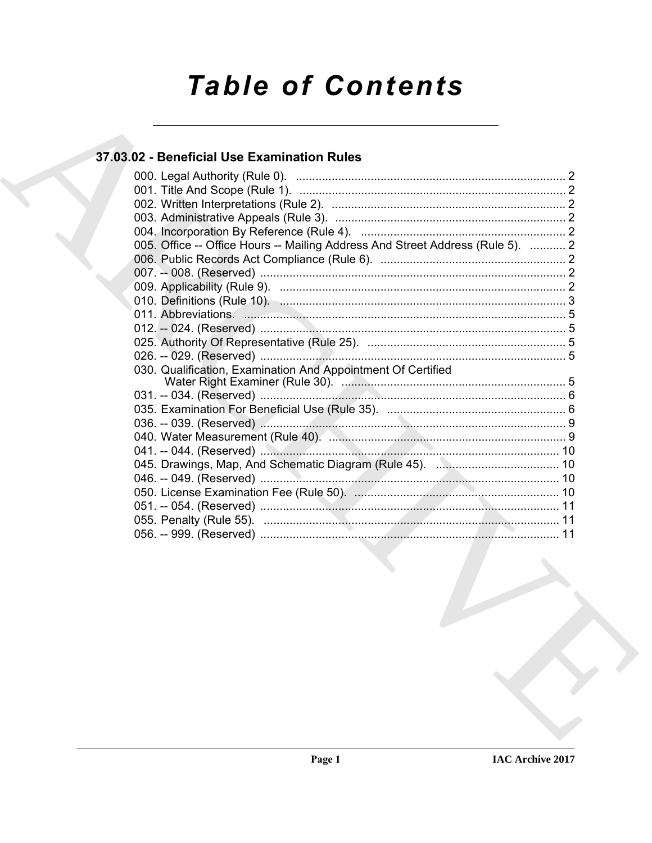# **Table of Contents**

### 37.03.02 - Beneficial Use Examination Rules

| 005. Office -- Office Hours -- Mailing Address And Street Address (Rule 5).  2                                 |  |
|----------------------------------------------------------------------------------------------------------------|--|
|                                                                                                                |  |
|                                                                                                                |  |
|                                                                                                                |  |
|                                                                                                                |  |
|                                                                                                                |  |
|                                                                                                                |  |
|                                                                                                                |  |
|                                                                                                                |  |
| 030. Qualification, Examination And Appointment Of Certified                                                   |  |
|                                                                                                                |  |
|                                                                                                                |  |
|                                                                                                                |  |
|                                                                                                                |  |
| 040. Water Measurement (Rule 40). 2. 2. 2. 2. 2. 2. 2. 2. 2. 2. 2. 3. 9. 9. 2. 3. 3. 4. 2. 3. 9. 2. 3. 4. 2. 3 |  |
|                                                                                                                |  |
|                                                                                                                |  |
|                                                                                                                |  |
|                                                                                                                |  |
|                                                                                                                |  |
|                                                                                                                |  |
|                                                                                                                |  |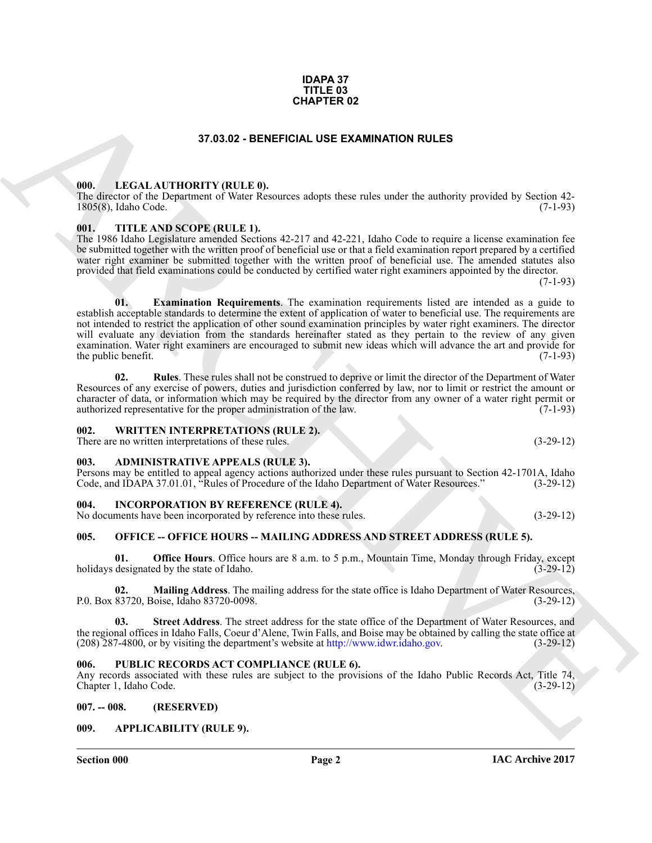#### **IAC Archive 2017**

#### **IDAPA 37 TITLE 03 CHAPTER 02**

#### **37.03.02 - BENEFICIAL USE EXAMINATION RULES**

#### <span id="page-1-1"></span><span id="page-1-0"></span>**000. LEGAL AUTHORITY (RULE 0).**

The director of the Department of Water Resources adopts these rules under the authority provided by Section 42- 1805(8), Idaho Code. (7-1-93)

#### <span id="page-1-2"></span>**001. TITLE AND SCOPE (RULE 1).**

<span id="page-1-11"></span>The 1986 Idaho Legislature amended Sections 42-217 and 42-221, Idaho Code to require a license examination fee be submitted together with the written proof of beneficial use or that a field examination report prepared by a certified water right examiner be submitted together with the written proof of beneficial use. The amended statutes also provided that field examinations could be conducted by certified water right examiners appointed by the director.

**CHAPTER 0.2**<br> **CHAPTER 0.2**<br> **CHAPTER 1.1**<br> **CHAPTER 1.1**<br> **CHAPTER 1.1**<br> **CHAPTER 1.1**<br> **CHAPTER 1.1**<br> **CHAPTER 1.1**<br> **CHAPTER 1.1**<br> **CHAPTER 1.1**<br> **CHAPTER 1.1**<br> **CHAPTER 1.1**<br> **CHAPTER 1.1**<br> **CHAPTER 1.1**<br> **CHAPTER 1. 01. Examination Requirements**. The examination requirements listed are intended as a guide to establish acceptable standards to determine the extent of application of water to beneficial use. The requirements are not intended to restrict the application of other sound examination principles by water right examiners. The director will evaluate any deviation from the standards hereinafter stated as they pertain to the review of any given examination. Water right examiners are encouraged to submit new ideas which will advance the art and provide for the public benefit. (7-1-93) the public benefit.

<span id="page-1-12"></span>**02. Rules**. These rules shall not be construed to deprive or limit the director of the Department of Water Resources of any exercise of powers, duties and jurisdiction conferred by law, nor to limit or restrict the amount or character of data, or information which may be required by the director from any owner of a water right permit or authorized representative for the proper administration of the law. (7-1-93)

#### <span id="page-1-3"></span>**002. WRITTEN INTERPRETATIONS (RULE 2).**

There are no written interpretations of these rules. (3-29-12)

#### <span id="page-1-4"></span>**003. ADMINISTRATIVE APPEALS (RULE 3).**

Persons may be entitled to appeal agency actions authorized under these rules pursuant to Section 42-1701A, Idaho Code, and IDAPA 37.01.01, "Rules of Procedure of the Idaho Department of Water Resources." (3-29-12)

#### <span id="page-1-5"></span>**004. INCORPORATION BY REFERENCE (RULE 4).**

No documents have been incorporated by reference into these rules. (3-29-12)

#### <span id="page-1-6"></span>**005. OFFICE -- OFFICE HOURS -- MAILING ADDRESS AND STREET ADDRESS (RULE 5).**

**01. Office Hours**. Office hours are 8 a.m. to 5 p.m., Mountain Time, Monday through Friday, except designated by the state of Idaho. (3-29-12) holidays designated by the state of Idaho.

**02. Mailing Address**. The mailing address for the state office is Idaho Department of Water Resources, P.0. Box 83720, Boise, Idaho 83720-0098. (3-29-12)

**03. Street Address**. The street address for the state office of the Department of Water Resources, and the regional offices in Idaho Falls, Coeur d'Alene, Twin Falls, and Boise may be obtained by calling the state office at  $(208)$  287-4800, or by visiting the department's website at  $\frac{http://www.idwr.idaho.gov.}(3-29-12)$  $(208)$  287-4800, or by visiting the department's website at http://www.idwr.idaho.gov.

#### <span id="page-1-7"></span>**006. PUBLIC RECORDS ACT COMPLIANCE (RULE 6).**

Any records associated with these rules are subject to the provisions of the Idaho Public Records Act, Title 74, Chapter 1, Idaho Code. (3-29-12) Chapter 1, Idaho Code.

<span id="page-1-8"></span>**007. -- 008. (RESERVED)**

#### <span id="page-1-10"></span><span id="page-1-9"></span>**009. APPLICABILITY (RULE 9).**

 $(7-1-93)$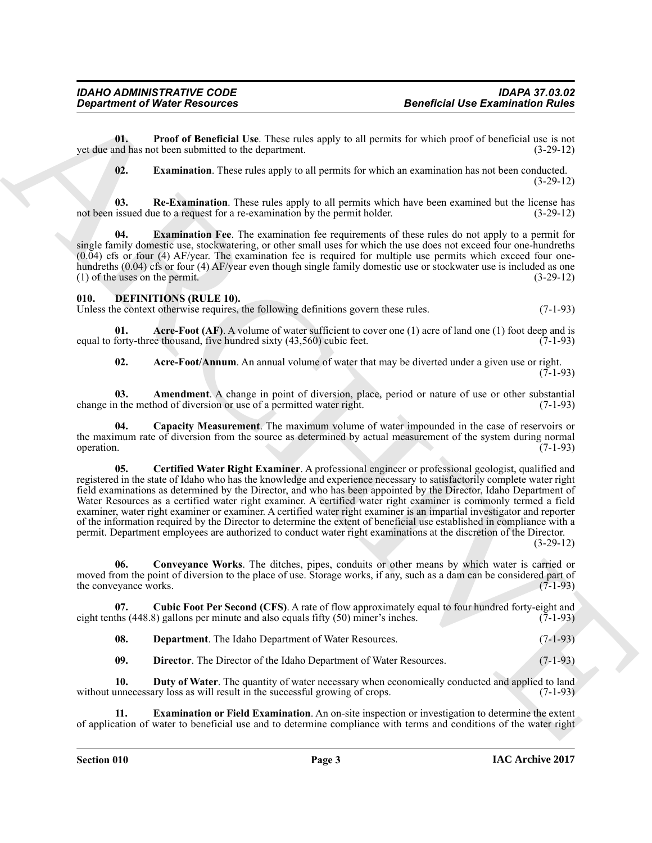**01. Proof of Beneficial Use**. These rules apply to all permits for which proof of beneficial use is not nd has not been submitted to the department. (3-29-12) yet due and has not been submitted to the department.

<span id="page-2-4"></span><span id="page-2-3"></span><span id="page-2-2"></span><span id="page-2-1"></span>**02. Examination**. These rules apply to all permits for which an examination has not been conducted. (3-29-12)

**03.** Re-Examination. These rules apply to all permits which have been examined but the license has issued due to a request for a re-examination by the permit holder. (3-29-12) not been issued due to a request for a re-examination by the permit holder.

**04. Examination Fee**. The examination fee requirements of these rules do not apply to a permit for single family domestic use, stockwatering, or other small uses for which the use does not exceed four one-hundreths (0.04) cfs or four (4) AF/year. The examination fee is required for multiple use permits which exceed four onehundreths (0.04) cfs or four (4) AF/year even though single family domestic use or stockwater use is included as one (1) of the uses on the permit.  $(3-29-12)$ 

#### <span id="page-2-5"></span><span id="page-2-0"></span>**010. DEFINITIONS (RULE 10).**

Unless the context otherwise requires, the following definitions govern these rules. (7-1-93)

**01. Acre-Foot (AF)**. A volume of water sufficient to cover one (1) acre of land one (1) foot deep and is forty-three thousand, five hundred sixty (43.560) cubic feet. (7-1-93) equal to forty-three thousand, five hundred sixty  $(43,560)$  cubic feet.

<span id="page-2-9"></span><span id="page-2-8"></span><span id="page-2-7"></span><span id="page-2-6"></span>**02. Acre-Foot/Annum**. An annual volume of water that may be diverted under a given use or right.

 $(7-1-93)$ 

**03. Amendment**. A change in point of diversion, place, period or nature of use or other substantial in the method of diversion or use of a permitted water right. (7-1-93) change in the method of diversion or use of a permitted water right.

<span id="page-2-10"></span>**04. Capacity Measurement**. The maximum volume of water impounded in the case of reservoirs or the maximum rate of diversion from the source as determined by actual measurement of the system during normal operation. (7-1-93) operation. (7-1-93)

**Exparament of Ninter Resolution**<br>
Unit Present distribution (European Mosque) to all promotes the maintain of Ninter and the state of the state and the state and the state and the state and the state and the state and th **05. Certified Water Right Examiner**. A professional engineer or professional geologist, qualified and registered in the state of Idaho who has the knowledge and experience necessary to satisfactorily complete water right field examinations as determined by the Director, and who has been appointed by the Director, Idaho Department of Water Resources as a certified water right examiner. A certified water right examiner is commonly termed a field examiner, water right examiner or examiner. A certified water right examiner is an impartial investigator and reporter of the information required by the Director to determine the extent of beneficial use established in compliance with a permit. Department employees are authorized to conduct water right examinations at the discretion of the Director. (3-29-12)

<span id="page-2-11"></span>**06. Conveyance Works**. The ditches, pipes, conduits or other means by which water is carried or moved from the point of diversion to the place of use. Storage works, if any, such as a dam can be considered part of the conveyance works. (7-1-93) the conveyance works.

**07.** Cubic Foot Per Second (CFS). A rate of flow approximately equal to four hundred forty-eight and ths (448.8) gallons per minute and also equals fifty (50) miner's inches. (7-1-93) eight tenths  $(448.8)$  gallons per minute and also equals fifty  $(50)$  miner's inches.

<span id="page-2-13"></span><span id="page-2-12"></span>**08. Department**. The Idaho Department of Water Resources. (7-1-93)

<span id="page-2-16"></span><span id="page-2-15"></span><span id="page-2-14"></span>**09. Director**. The Director of the Idaho Department of Water Resources. (7-1-93)

**10. Duty of Water**. The quantity of water necessary when economically conducted and applied to land unnecessary loss as will result in the successful growing of crops. (7-1-93) without unnecessary loss as will result in the successful growing of crops.

**Examination or Field Examination**. An on-site inspection or investigation to determine the extent of application of water to beneficial use and to determine compliance with terms and conditions of the water right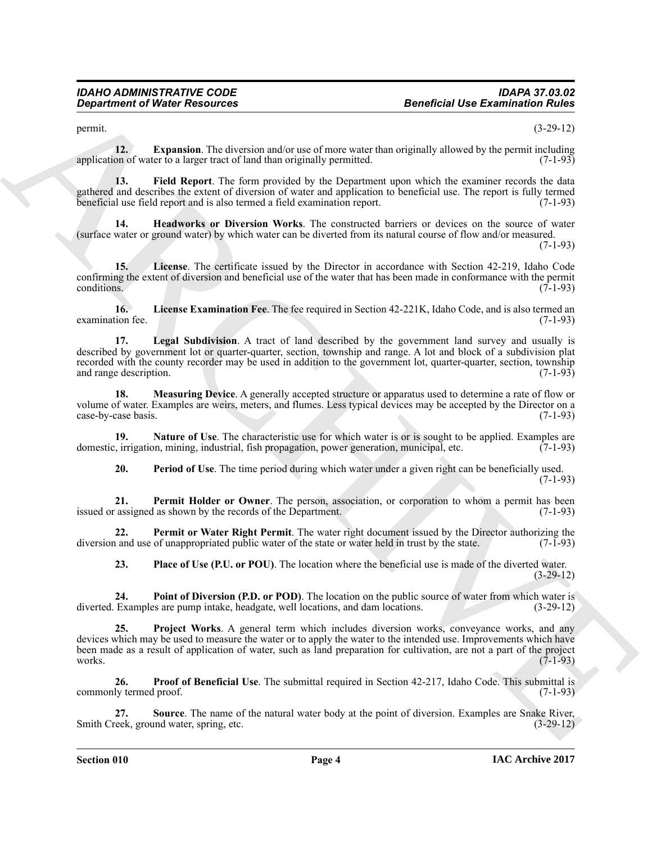<span id="page-3-0"></span>

 $permit.$  (3-29-12)

**12. Expansion**. The diversion and/or use of more water than originally allowed by the permit including application of water to a larger tract of land than originally permitted. (7-1-93)

<span id="page-3-1"></span>**13. Field Report**. The form provided by the Department upon which the examiner records the data gathered and describes the extent of diversion of water and application to beneficial use. The report is fully termed beneficial use field report and is also termed a field examination report. (7-1-93)

<span id="page-3-2"></span>**14. Headworks or Diversion Works**. The constructed barriers or devices on the source of water (surface water or ground water) by which water can be diverted from its natural course of flow and/or measured.

(7-1-93)

<span id="page-3-4"></span>**15. License**. The certificate issued by the Director in accordance with Section 42-219, Idaho Code confirming the extent of diversion and beneficial use of the water that has been made in conformance with the permit conditions. (7-1-93)

<span id="page-3-5"></span><span id="page-3-3"></span>**16. License Examination Fee**. The fee required in Section 42-221K, Idaho Code, and is also termed an examination fee. (7-1-93)

Geographe of Chinese Resources<br>
Spacehold Use Examination shows a second of the technological spacehold by the spacehold of the spacehold<br>
Spacehold and the spacehold of the spacehold of the spacehold of the spacehold of **17. Legal Subdivision**. A tract of land described by the government land survey and usually is described by government lot or quarter-quarter, section, township and range. A lot and block of a subdivision plat recorded with the county recorder may be used in addition to the government lot, quarter-quarter, section, township and range description. (7-1-93)

<span id="page-3-6"></span>**18. Measuring Device**. A generally accepted structure or apparatus used to determine a rate of flow or volume of water. Examples are weirs, meters, and flumes. Less typical devices may be accepted by the Director on a case-by-case basis. (7-1-93) case-by-case basis.

**19. Nature of Use**. The characteristic use for which water is or is sought to be applied. Examples are in irrigation, mining, industrial, fish propagation, power generation, municipal, etc. (7-1-93) domestic, irrigation, mining, industrial, fish propagation, power generation, municipal, etc.

<span id="page-3-9"></span><span id="page-3-8"></span><span id="page-3-7"></span>**20. Period of Use**. The time period during which water under a given right can be beneficially used. (7-1-93)

**21. Permit Holder or Owner**. The person, association, or corporation to whom a permit has been rassigned as shown by the records of the Department. (7-1-93) issued or assigned as shown by the records of the Department.

**22. Permit or Water Right Permit**. The water right document issued by the Director authorizing the and use of unappropriated public water of the state or water held in trust by the state. (7-1-93) diversion and use of unappropriated public water of the state or water held in trust by the state.

<span id="page-3-13"></span><span id="page-3-12"></span><span id="page-3-11"></span><span id="page-3-10"></span>**23. Place of Use (P.U. or POU)**. The location where the beneficial use is made of the diverted water. (3-29-12)

**24. Point of Diversion (P.D. or POD)**. The location on the public source of water from which water is Examples are pump intake, headgate, well locations, and dam locations. (3-29-12) diverted. Examples are pump intake, headgate, well locations, and dam locations.

**25. Project Works**. A general term which includes diversion works, conveyance works, and any devices which may be used to measure the water or to apply the water to the intended use. Improvements which have been made as a result of application of water, such as land preparation for cultivation, are not a part of the project works. (7-1-93) works.  $(7-1-93)$ 

<span id="page-3-14"></span>**26. Proof of Beneficial Use**. The submittal required in Section 42-217, Idaho Code. This submittal is commonly termed proof. (7-1-93)

<span id="page-3-15"></span>**27. Source**. The name of the natural water body at the point of diversion. Examples are Snake River, and water, spring, etc. (3-29-12) Smith Creek, ground water, spring, etc.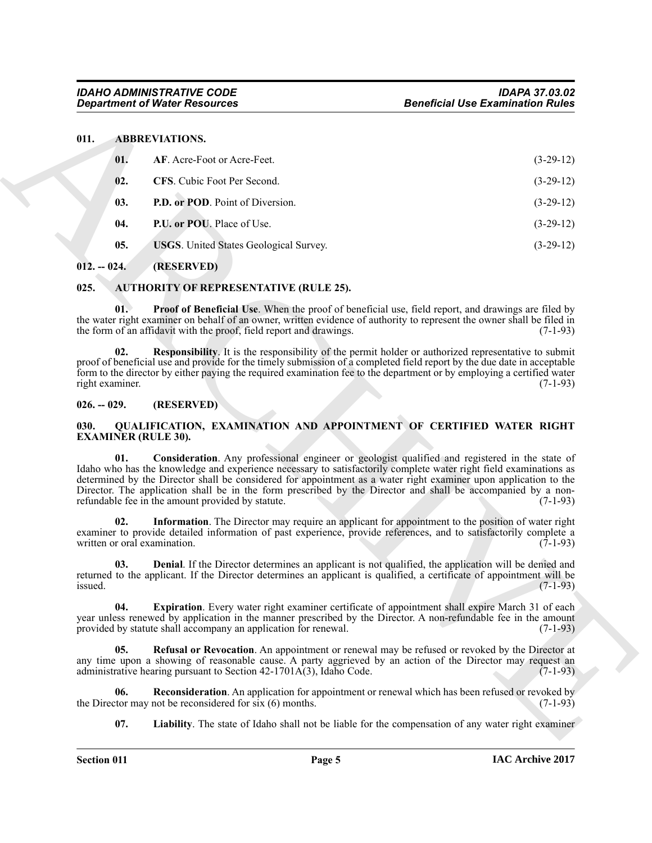#### <span id="page-4-8"></span><span id="page-4-7"></span><span id="page-4-6"></span><span id="page-4-5"></span><span id="page-4-0"></span>**011. ABBREVIATIONS.**

|                        | <b>Department of Water Resources</b>                                | <b>Beneficial Use Examination Rules</b>                                                                                                                                                                                                                                                                                                                                                                                                                               |
|------------------------|---------------------------------------------------------------------|-----------------------------------------------------------------------------------------------------------------------------------------------------------------------------------------------------------------------------------------------------------------------------------------------------------------------------------------------------------------------------------------------------------------------------------------------------------------------|
| 011.                   | <b>ABBREVIATIONS.</b>                                               |                                                                                                                                                                                                                                                                                                                                                                                                                                                                       |
| 01.                    | AF. Acre-Foot or Acre-Feet.                                         | $(3-29-12)$                                                                                                                                                                                                                                                                                                                                                                                                                                                           |
| 02.                    | CFS. Cubic Foot Per Second.                                         | $(3-29-12)$                                                                                                                                                                                                                                                                                                                                                                                                                                                           |
| 03.                    | P.D. or POD. Point of Diversion.                                    | $(3-29-12)$                                                                                                                                                                                                                                                                                                                                                                                                                                                           |
| 04.                    | P.U. or POU. Place of Use.                                          | $(3-29-12)$                                                                                                                                                                                                                                                                                                                                                                                                                                                           |
| 05.                    | <b>USGS</b> . United States Geological Survey.                      | $(3-29-12)$                                                                                                                                                                                                                                                                                                                                                                                                                                                           |
| $012. - 024.$          | (RESERVED)                                                          |                                                                                                                                                                                                                                                                                                                                                                                                                                                                       |
| 025.                   | <b>AUTHORITY OF REPRESENTATIVE (RULE 25).</b>                       |                                                                                                                                                                                                                                                                                                                                                                                                                                                                       |
| 01.                    | the form of an affidavit with the proof, field report and drawings. | <b>Proof of Beneficial Use.</b> When the proof of beneficial use, field report, and drawings are filed by<br>the water right examiner on behalf of an owner, written evidence of authority to represent the owner shall be filed in<br>$(7-1-93)$                                                                                                                                                                                                                     |
| 02.<br>right examiner. |                                                                     | Responsibility. It is the responsibility of the permit holder or authorized representative to submit<br>proof of beneficial use and provide for the timely submission of a completed field report by the due date in acceptable<br>form to the director by either paying the required examination fee to the department or by employing a certified water<br>$(7-1-93)$                                                                                               |
| $026. - 029.$          | (RESERVED)                                                          |                                                                                                                                                                                                                                                                                                                                                                                                                                                                       |
| 030.                   | <b>EXAMINER (RULE 30).</b>                                          | QUALIFICATION, EXAMINATION AND APPOINTMENT OF CERTIFIED WATER RIGHT                                                                                                                                                                                                                                                                                                                                                                                                   |
| 01.                    | refundable fee in the amount provided by statute.                   | Consideration. Any professional engineer or geologist qualified and registered in the state of<br>Idaho who has the knowledge and experience necessary to satisfactorily complete water right field examinations as<br>determined by the Director shall be considered for appointment as a water right examiner upon application to the<br>Director. The application shall be in the form prescribed by the Director and shall be accompanied by a non-<br>$(7-1-93)$ |
| 02.                    | written or oral examination.                                        | Information. The Director may require an applicant for appointment to the position of water right<br>examiner to provide detailed information of past experience, provide references, and to satisfactorily complete a<br>$(7-1-93)$                                                                                                                                                                                                                                  |
| 03.<br>issued.         |                                                                     | <b>Denial</b> . If the Director determines an applicant is not qualified, the application will be denied and<br>returned to the applicant. If the Director determines an applicant is qualified, a certificate of appointment will be<br>$(7-1-93)$                                                                                                                                                                                                                   |
| 04.                    | provided by statute shall accompany an application for renewal.     | Expiration. Every water right examiner certificate of appointment shall expire March 31 of each<br>year unless renewed by application in the manner prescribed by the Director. A non-refundable fee in the amount<br>$(7-1-93)$                                                                                                                                                                                                                                      |
| 05.                    | administrative hearing pursuant to Section 42-1701A(3), Idaho Code. | <b>Refusal or Revocation</b> . An appointment or renewal may be refused or revoked by the Director at<br>any time upon a showing of reasonable cause. A party aggrieved by an action of the Director may request an<br>$(7-1-93)$                                                                                                                                                                                                                                     |
| 06.                    | the Director may not be reconsidered for six (6) months.            | <b>Reconsideration</b> . An application for appointment or renewal which has been refused or revoked by<br>$(7-1-93)$                                                                                                                                                                                                                                                                                                                                                 |
|                        |                                                                     | <b>Liability</b> . The state of Idaho shall not be liable for the compensation of any water right examiner                                                                                                                                                                                                                                                                                                                                                            |

#### <span id="page-4-10"></span><span id="page-4-9"></span><span id="page-4-1"></span>**012. -- 024. (RESERVED)**

#### <span id="page-4-13"></span><span id="page-4-12"></span><span id="page-4-11"></span><span id="page-4-2"></span>**025. AUTHORITY OF REPRESENTATIVE (RULE 25).**

#### <span id="page-4-3"></span>**026. -- 029. (RESERVED)**

#### <span id="page-4-21"></span><span id="page-4-20"></span><span id="page-4-19"></span><span id="page-4-18"></span><span id="page-4-17"></span><span id="page-4-16"></span><span id="page-4-15"></span><span id="page-4-14"></span><span id="page-4-4"></span>**030. QUALIFICATION, EXAMINATION AND APPOINTMENT OF CERTIFIED WATER RIGHT EXAMINER (RULE 30).**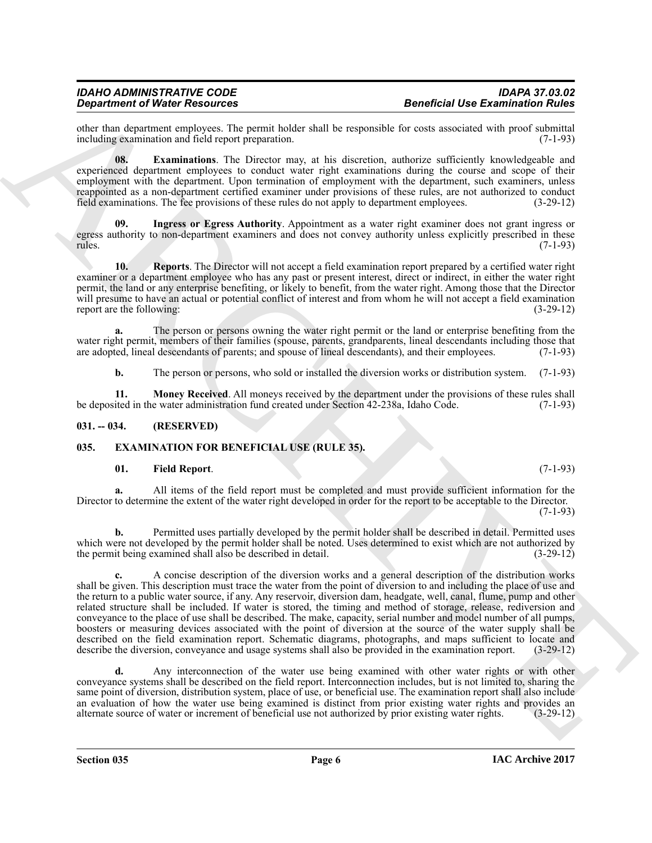other than department employees. The permit holder shall be responsible for costs associated with proof submittal including examination and field report preparation.

<span id="page-5-4"></span>**08. Examinations**. The Director may, at his discretion, authorize sufficiently knowledgeable and experienced department employees to conduct water right examinations during the course and scope of their employment with the department. Upon termination of employment with the department, such examiners, unless reappointed as a non-department certified examiner under provisions of these rules, are not authorized to conduct field examinations. The fee provisions of these rules do not apply to department employees. (3-29-12)

<span id="page-5-5"></span>**09. Ingress or Egress Authority**. Appointment as a water right examiner does not grant ingress or egress authority to non-department examiners and does not convey authority unless explicitly prescribed in these rules. (7-1-93) rules. (7-1-93)

<span id="page-5-7"></span>**10. Reports**. The Director will not accept a field examination report prepared by a certified water right examiner or a department employee who has any past or present interest, direct or indirect, in either the water right permit, the land or any enterprise benefiting, or likely to benefit, from the water right. Among those that the Director will presume to have an actual or potential conflict of interest and from whom he will not accept a field examination report are the following: (3-29-12) report are the following:

**a.** The person or persons owning the water right permit or the land or enterprise benefiting from the water right permit, members of their families (spouse, parents, grandparents, lineal descendants including those that are adopted, lineal descendants of parents; and spouse of lineal descendants), and their employees. (7-1 are adopted, lineal descendants of parents; and spouse of lineal descendants), and their employees.

<span id="page-5-6"></span>**b.** The person or persons, who sold or installed the diversion works or distribution system. (7-1-93)

**11. Money Received**. All moneys received by the department under the provisions of these rules shall ited in the water administration fund created under Section 42-238a, Idaho Code. (7-1-93) be deposited in the water administration fund created under Section 42-238a, Idaho Code.

#### <span id="page-5-0"></span>**031. -- 034. (RESERVED)**

#### <span id="page-5-1"></span>**035. EXAMINATION FOR BENEFICIAL USE (RULE 35).**

#### <span id="page-5-3"></span><span id="page-5-2"></span>**01. Field Report**. (7-1-93)

**a.** All items of the field report must be completed and must provide sufficient information for the Director to determine the extent of the water right developed in order for the report to be acceptable to the Director.  $(7-1-93)$ 

**b.** Permitted uses partially developed by the permit holder shall be described in detail. Permitted uses which were not developed by the permit holder shall be noted. Uses determined to exist which are not authorized by the permit being examined shall also be described in detail. (3-29-12) the permit being examined shall also be described in detail.

General of Water Research and the University of the Christian Control of the Christian Control of the Christian Control of the Christian Control of the Christian Control of the Christian Control of the Christian Control o **c.** A concise description of the diversion works and a general description of the distribution works shall be given. This description must trace the water from the point of diversion to and including the place of use and the return to a public water source, if any. Any reservoir, diversion dam, headgate, well, canal, flume, pump and other related structure shall be included. If water is stored, the timing and method of storage, release, rediversion and conveyance to the place of use shall be described. The make, capacity, serial number and model number of all pumps, boosters or measuring devices associated with the point of diversion at the source of the water supply shall be described on the field examination report. Schematic diagrams, photographs, and maps sufficient to locate and describe the diversion, conveyance and usage systems shall also be provided in the examination report. (3-29-12) describe the diversion, conveyance and usage systems shall also be provided in the examination report.

**d.** Any interconnection of the water use being examined with other water rights or with other conveyance systems shall be described on the field report. Interconnection includes, but is not limited to, sharing the same point of diversion, distribution system, place of use, or beneficial use. The examination report shall also include an evaluation of how the water use being examined is distinct from prior existing water rights and provides an<br>alternate source of water or increment of beneficial use not authorized by prior existing water rights. (3-29-1 alternate source of water or increment of beneficial use not authorized by prior existing water rights.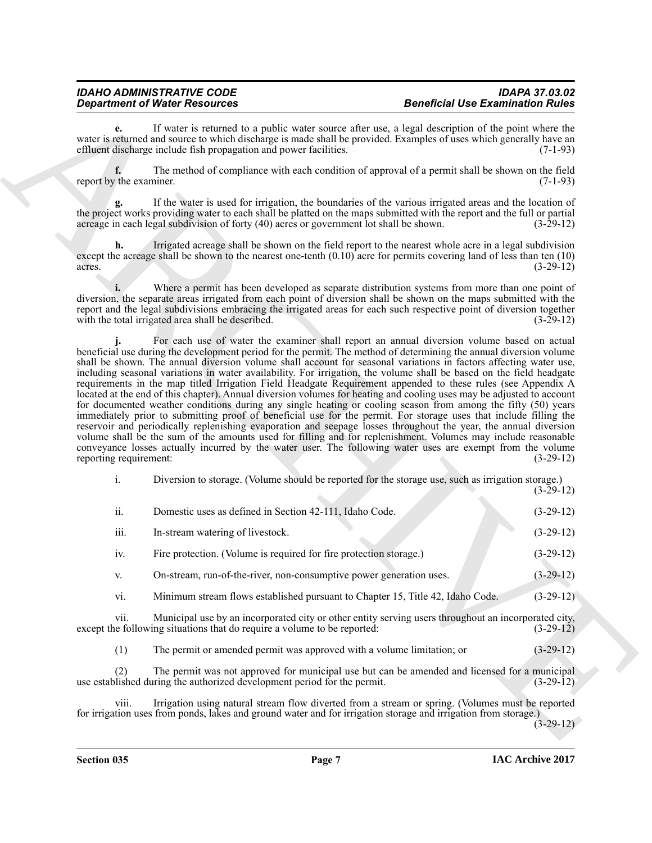## *Department of Water Resources*

**e.** If water is returned to a public water source after use, a legal description of the point where the water is returned and source to which discharge is made shall be provided. Examples of uses which generally have an effluent discharge include fish propagation and power facilities. (7-1-93) effluent discharge include fish propagation and power facilities.

**f.** The method of compliance with each condition of approval of a permit shall be shown on the field report by the examiner. (7-1-93)

**g.** If the water is used for irrigation, the boundaries of the various irrigated areas and the location of the project works providing water to each shall be platted on the maps submitted with the report and the full or partial acreage in each legal subdivision of forty (40) acres or government lot shall be shown. (3-29-12)

**h.** Irrigated acreage shall be shown on the field report to the nearest whole acre in a legal subdivision except the acreage shall be shown to the nearest one-tenth  $(0.10)$  acre for permits covering land of less than ten  $(10)$  acres.<br> $(3-29-12)$  $\arccos$ . (3-29-12)

**i.** Where a permit has been developed as separate distribution systems from more than one point of diversion, the separate areas irrigated from each point of diversion shall be shown on the maps submitted with the report and the legal subdivisions embracing the irrigated areas for each such respective point of diversion together with the total irrigated area shall be described. (3-29-12)

**Consideration** We become the same of the same of the consideration of the consideration of the same signal consideration of the same signal consideration of the same signal consideration of the same signal consideration For each use of water the examiner shall report an annual diversion volume based on actual beneficial use during the development period for the permit. The method of determining the annual diversion volume shall be shown. The annual diversion volume shall account for seasonal variations in factors affecting water use, including seasonal variations in water availability. For irrigation, the volume shall be based on the field headgate requirements in the map titled Irrigation Field Headgate Requirement appended to these rules (see Appendix A located at the end of this chapter). Annual diversion volumes for heating and cooling uses may be adjusted to account for documented weather conditions during any single heating or cooling season from among the fifty (50) years immediately prior to submitting proof of beneficial use for the permit. For storage uses that include filling the reservoir and periodically replenishing evaporation and seepage losses throughout the year, the annual diversion volume shall be the sum of the amounts used for filling and for replenishment. Volumes may include reasonable conveyance losses actually incurred by the water user. The following water uses are exempt from the volume reporting requirement: (3-29-12) reporting requirement:

| Diversion to storage. (Volume should be reported for the storage use, such as irrigation storage.) |  |             |
|----------------------------------------------------------------------------------------------------|--|-------------|
|                                                                                                    |  | $(3-29-12)$ |

| ii.  | Domestic uses as defined in Section 42-111, Idaho Code.                        | $(3-29-12)$ |
|------|--------------------------------------------------------------------------------|-------------|
| iii. | In-stream watering of livestock.                                               | $(3-29-12)$ |
| iv.  | Fire protection. (Volume is required for fire protection storage.)             | $(3-29-12)$ |
| V.   | On-stream, run-of-the-river, non-consumptive power generation uses.            | $(3-29-12)$ |
| vi.  | Minimum stream flows established pursuant to Chapter 15, Title 42, Idaho Code. | $(3-29-12)$ |

vii. Municipal use by an incorporated city or other entity serving users throughout an incorporated city, except the following situations that do require a volume to be reported: (3-29-12)

(1) The permit or amended permit was approved with a volume limitation; or (3-29-12)

The permit was not approved for municipal use but can be amended and licensed for a municipal ring the authorized development period for the permit. (3-29-12) use established during the authorized development period for the permit.

viii. Irrigation using natural stream flow diverted from a stream or spring. (Volumes must be reported for irrigation uses from ponds, lakes and ground water and for irrigation storage and irrigation from storage.)

(3-29-12)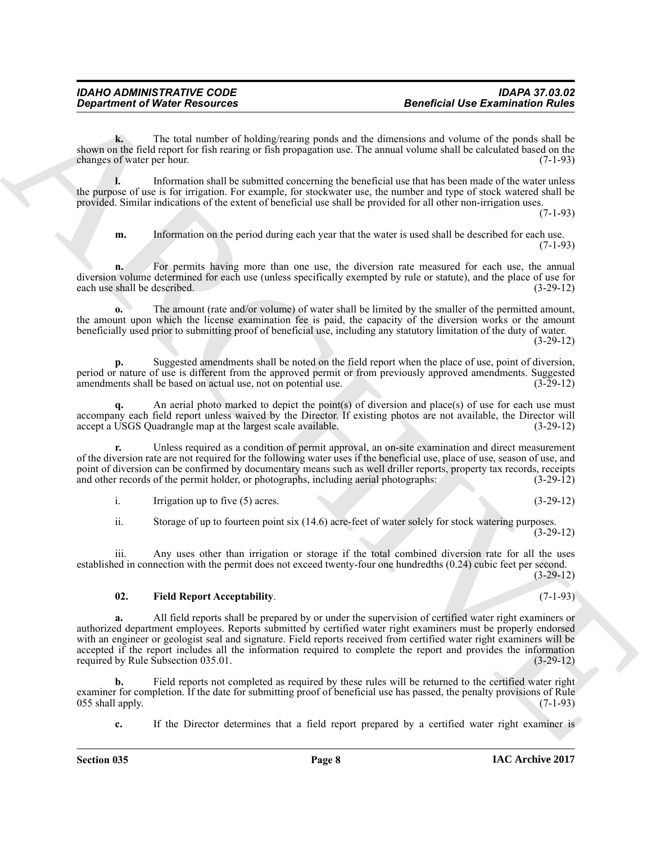**k.** The total number of holding/rearing ponds and the dimensions and volume of the ponds shall be shown on the field report for fish rearing or fish propagation use. The annual volume shall be calculated based on the changes of water per hour. (7-1-93) changes of water per hour.

**l.** Information shall be submitted concerning the beneficial use that has been made of the water unless the purpose of use is for irrigation. For example, for stockwater use, the number and type of stock watered shall be provided. Similar indications of the extent of beneficial use shall be provided for all other non-irrigation uses.

 $(7-1-93)$ 

**m.** Information on the period during each year that the water is used shall be described for each use. (7-1-93)

For permits having more than one use, the diversion rate measured for each use, the annual diversion volume determined for each use (unless specifically exempted by rule or statute), and the place of use for each use shall be described. (3-29-12) each use shall be described.

**o.** The amount (rate and/or volume) of water shall be limited by the smaller of the permitted amount, the amount upon which the license examination fee is paid, the capacity of the diversion works or the amount beneficially used prior to submitting proof of beneficial use, including any statutory limitation of the duty of water.

(3-29-12)

**p.** Suggested amendments shall be noted on the field report when the place of use, point of diversion, period or nature of use is different from the approved permit or from previously approved amendments. Suggested amendments shall be based on actual use, not on potential use. (3-29-12)

An aerial photo marked to depict the point(s) of diversion and place(s) of use for each use must accompany each field report unless waived by the Director. If existing photos are not available, the Director will accept a USGS Quadrangle map at the largest scale available. (3-29-12) accept a USGS Quadrangle map at the largest scale available.

**r.** Unless required as a condition of permit approval, an on-site examination and direct measurement of the diversion rate are not required for the following water uses if the beneficial use, place of use, season of use, and point of diversion can be confirmed by documentary means such as well driller reports, property tax records, receipts and other records of the permit holder, or photographs, including aerial photographs: (3-29-12) and other records of the permit holder, or photographs, including aerial photographs:

i. Irrigation up to five  $(5)$  acres. (3-29-12)

ii. Storage of up to fourteen point six (14.6) acre-feet of water solely for stock watering purposes.

(3-29-12)

iii. Any uses other than irrigation or storage if the total combined diversion rate for all the uses established in connection with the permit does not exceed twenty-four one hundredths (0.24) cubic feet per second. (3-29-12)

#### <span id="page-7-0"></span>**02. Field Report Acceptability**. (7-1-93)

General of Water Research of Using Value (see Externios of the Comparison of the Using Value of the Using Value of the Using Value of the Using Value of the Using Value of the Using Value of the Using Value of the Using V **a.** All field reports shall be prepared by or under the supervision of certified water right examiners or authorized department employees. Reports submitted by certified water right examiners must be properly endorsed with an engineer or geologist seal and signature. Field reports received from certified water right examiners will be accepted if the report includes all the information required to complete the report and provides the information required by Rule Subsection 035.01. (3-29-12) required by Rule Subsection 035.01.

**b.** Field reports not completed as required by these rules will be returned to the certified water right examiner for completion. If the date for submitting proof of beneficial use has passed, the penalty provisions of Rule 055 shall apply. (7-1-93) 055 shall apply.

**c.** If the Director determines that a field report prepared by a certified water right examiner is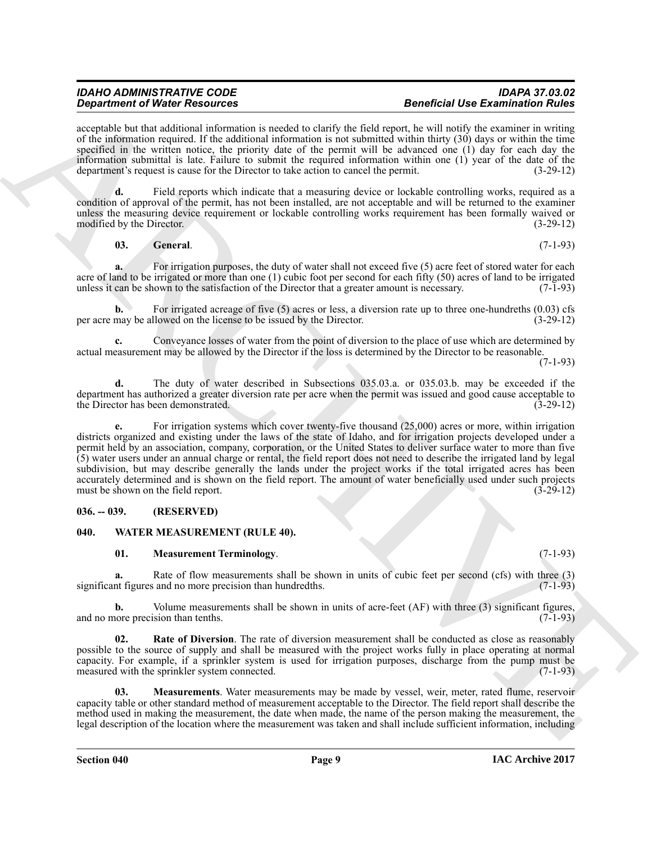#### *IDAHO ADMINISTRATIVE CODE IDAPA 37.03.02 Department of Water Resources Beneficial Use Examination Rules*

acceptable but that additional information is needed to clarify the field report, he will notify the examiner in writing of the information required. If the additional information is not submitted within thirty (30) days or within the time specified in the written notice, the priority date of the permit will be advanced one (1) day for each day the information submittal is late. Failure to submit the required information within one (1) year of the date of the department's request is cause for the Director to take action to cancel the permit. (3-29-12)

**d.** Field reports which indicate that a measuring device or lockable controlling works, required as a condition of approval of the permit, has not been installed, are not acceptable and will be returned to the examiner unless the measuring device requirement or lockable controlling works requirement has been formally waived or modified by the Director. (3-29-12)

<span id="page-8-2"></span>**03. General**. (7-1-93)

For irrigation purposes, the duty of water shall not exceed five (5) acre feet of stored water for each acre of land to be irrigated or more than one (1) cubic foot per second for each fifty (50) acres of land to be irrigated unless it can be shown to the satisfaction of the Director that a greater amount is necessary. (7-1unless it can be shown to the satisfaction of the Director that a greater amount is necessary.

**b.** For irrigated acreage of five (5) acres or less, a diversion rate up to three one-hundreths (0.03) cfs per acre may be allowed on the license to be issued by the Director. (3-29-12)

**c.** Conveyance losses of water from the point of diversion to the place of use which are determined by actual measurement may be allowed by the Director if the loss is determined by the Director to be reasonable.

(7-1-93)

**d.** The duty of water described in Subsections 035.03.a. or 035.03.b. may be exceeded if the department has authorized a greater diversion rate per acre when the permit was issued and good cause acceptable to the Director has been demonstrated. (3-29-12) the Director has been demonstrated.

**Stationary Webles Research Stationary and the stationary and the first External Stationary and the stationary and the stationary and the stationary and the stationary and the stationary and the stationary and the station e.** For irrigation systems which cover twenty-five thousand (25,000) acres or more, within irrigation districts organized and existing under the laws of the state of Idaho, and for irrigation projects developed under a permit held by an association, company, corporation, or the United States to deliver surface water to more than five (5) water users under an annual charge or rental, the field report does not need to describe the irrigated land by legal subdivision, but may describe generally the lands under the project works if the total irrigated acres has been accurately determined and is shown on the field report. The amount of water beneficially used under such projects must be shown on the field report. must be shown on the field report.

#### <span id="page-8-0"></span>**036. -- 039. (RESERVED)**

#### <span id="page-8-1"></span>**040. WATER MEASUREMENT (RULE 40).**

#### <span id="page-8-4"></span><span id="page-8-3"></span>**01. Measurement Terminology**. (7-1-93)

**a.** Rate of flow measurements shall be shown in units of cubic feet per second (cfs) with three (3) nt figures and no more precision than hundredths. (7-1-93) significant figures and no more precision than hundredths.

**b.** Volume measurements shall be shown in units of acre-feet (AF) with three (3) significant figures, ore precision than tenths. (7-1-93) and no more precision than tenths.

<span id="page-8-6"></span>**02. Rate of Diversion**. The rate of diversion measurement shall be conducted as close as reasonably possible to the source of supply and shall be measured with the project works fully in place operating at normal capacity. For example, if a sprinkler system is used for irrigation purposes, discharge from the pump must be measured with the sprinkler system connected. (7-1-93)

<span id="page-8-5"></span>**03. Measurements**. Water measurements may be made by vessel, weir, meter, rated flume, reservoir capacity table or other standard method of measurement acceptable to the Director. The field report shall describe the method used in making the measurement, the date when made, the name of the person making the measurement, the legal description of the location where the measurement was taken and shall include sufficient information, including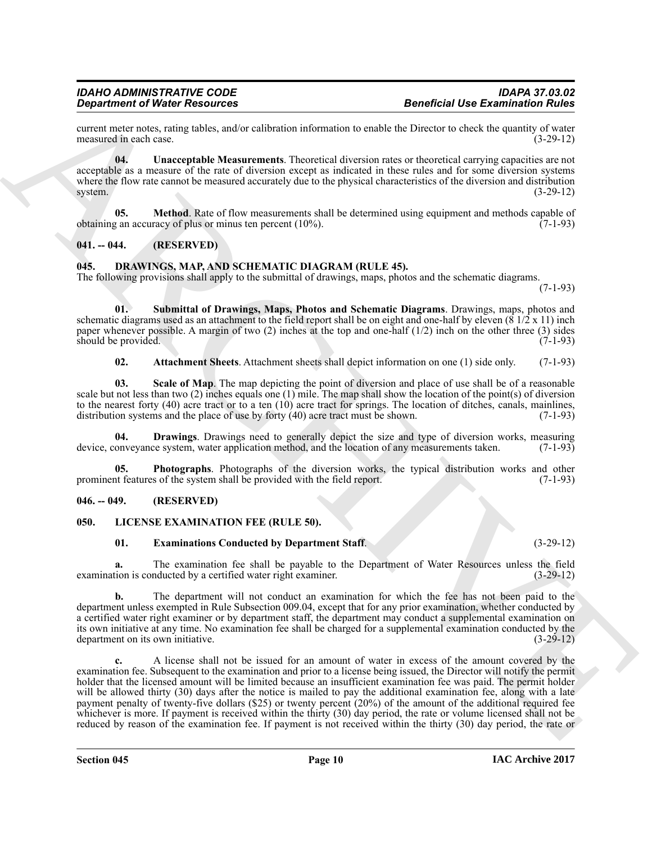current meter notes, rating tables, and/or calibration information to enable the Director to check the quantity of water measured in each case. (3-29-12) measured in each case.

<span id="page-9-13"></span>**04. Unacceptable Measurements**. Theoretical diversion rates or theoretical carrying capacities are not acceptable as a measure of the rate of diversion except as indicated in these rules and for some diversion systems where the flow rate cannot be measured accurately due to the physical characteristics of the diversion and distribution system. system. (3-29-12)

<span id="page-9-12"></span>**05.** Method. Rate of flow measurements shall be determined using equipment and methods capable of obtaining an accuracy of plus or minus ten percent  $(10\%)$ .  $(7-1-93)$ 

#### <span id="page-9-0"></span>**041. -- 044. (RESERVED)**

#### <span id="page-9-4"></span><span id="page-9-1"></span>**045. DRAWINGS, MAP, AND SCHEMATIC DIAGRAM (RULE 45).**

The following provisions shall apply to the submittal of drawings, maps, photos and the schematic diagrams.

(7-1-93)

**01. Submittal of Drawings, Maps, Photos and Schematic Diagrams**. Drawings, maps, photos and schematic diagrams used as an attachment to the field report shall be on eight and one-half by eleven  $(8\frac{1}{2} \times 11)$  inch paper whenever possible. A margin of two (2) inches at the top and one-half (1/2) inch on the other three (3) sides should be provided. (7-1-93) should be provided.

<span id="page-9-9"></span><span id="page-9-8"></span><span id="page-9-5"></span>**02. Attachment Sheets**. Attachment sheets shall depict information on one (1) side only. (7-1-93)

**03. Scale of Map**. The map depicting the point of diversion and place of use shall be of a reasonable scale but not less than two (2) inches equals one (1) mile. The map shall show the location of the point(s) of diversion to the nearest forty (40) acre tract or to a ten  $(10)$  acre tract for springs. The location of ditches, canals, mainlines, distribution systems and the place of use by forty (40) acre tract must be shown. (7-1-93) distribution systems and the place of use by forty  $(40)$  acre tract must be shown.

<span id="page-9-6"></span>**04. Drawings**. Drawings need to generally depict the size and type of diversion works, measuring onveyance system, water application method, and the location of any measurements taken. (7-1-93) device, conveyance system, water application method, and the location of any measurements taken.

<span id="page-9-7"></span>**05. Photographs**. Photographs of the diversion works, the typical distribution works and other prominent features of the system shall be provided with the field report. (7-1-93)

#### <span id="page-9-2"></span>**046. -- 049. (RESERVED)**

#### <span id="page-9-3"></span>**050. LICENSE EXAMINATION FEE (RULE 50).**

### <span id="page-9-11"></span><span id="page-9-10"></span>**01. Examinations Conducted by Department Staff**. (3-29-12)

**a.** The examination fee shall be payable to the Department of Water Resources unless the field tion is conducted by a certified water right examiner. (3-29-12) examination is conducted by a certified water right examiner.

**b.** The department will not conduct an examination for which the fee has not been paid to the department unless exempted in Rule Subsection 009.04, except that for any prior examination, whether conducted by a certified water right examiner or by department staff, the department may conduct a supplemental examination on its own initiative at any time. No examination fee shall be charged for a supplemental examination conducted by the department on its own initiative.

Graduated Water Resources<br>
Constraints of the Resources<br>
Constraints of the State collection information behaviour and the state of the state of the state of the State of the State of the State of the State of the State o **c.** A license shall not be issued for an amount of water in excess of the amount covered by the examination fee. Subsequent to the examination and prior to a license being issued, the Director will notify the permit holder that the licensed amount will be limited because an insufficient examination fee was paid. The permit holder will be allowed thirty (30) days after the notice is mailed to pay the additional examination fee, along with a late payment penalty of twenty-five dollars (\$25) or twenty percent (20%) of the amount of the additional required fee whichever is more. If payment is received within the thirty (30) day period, the rate or volume licensed shall not be reduced by reason of the examination fee. If payment is not received within the thirty (30) day period, the rate or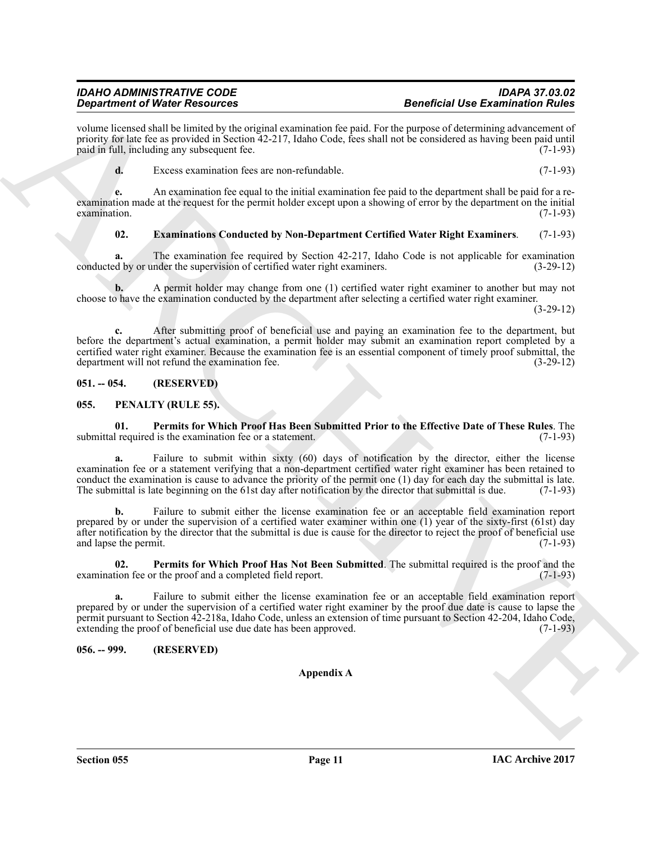volume licensed shall be limited by the original examination fee paid. For the purpose of determining advancement of priority for late fee as provided in Section 42-217, Idaho Code, fees shall not be considered as having been paid until paid in full, including any subsequent fee. paid in full, including any subsequent fee.

**d.** Excess examination fees are non-refundable. (7-1-93)

**e.** An examination fee equal to the initial examination fee paid to the department shall be paid for a reexamination made at the request for the permit holder except upon a showing of error by the department on the initial examination.  $\alpha$  examination.  $(7-1-93)$ 

#### <span id="page-10-3"></span>**02. Examinations Conducted by Non-Department Certified Water Right Examiners**. (7-1-93)

**a.** The examination fee required by Section 42-217, Idaho Code is not applicable for examination d by or under the supervision of certified water right examiners. (3-29-12) conducted by or under the supervision of certified water right examiners.

**b.** A permit holder may change from one (1) certified water right examiner to another but may not choose to have the examination conducted by the department after selecting a certified water right examiner.

(3-29-12)

**c.** After submitting proof of beneficial use and paying an examination fee to the department, but before the department's actual examination, a permit holder may submit an examination report completed by a certified water right examiner. Because the examination fee is an essential component of timely proof submittal, the department will not refund the examination fee. department will not refund the examination fee.

#### <span id="page-10-0"></span>**051. -- 054. (RESERVED)**

#### <span id="page-10-4"></span><span id="page-10-1"></span>**055. PENALTY (RULE 55).**

<span id="page-10-5"></span>**01.** Permits for Which Proof Has Been Submitted Prior to the Effective Date of These Rules. The I required is the examination fee or a statement. (7-1-93) submittal required is the examination fee or a statement.

Graduate of Water Newsletters and the state and the state of the formula state and the state of the state of the state of the state of the state of the state of the state of the state of the state of the state of the stat **a.** Failure to submit within sixty (60) days of notification by the director, either the license examination fee or a statement verifying that a non-department certified water right examiner has been retained to conduct the examination is cause to advance the priority of the permit one (1) day for each day the submittal is late.<br>The submittal is late beginning on the 61st day after notification by the director that submittal is d The submittal is late beginning on the 61st day after notification by the director that submittal is due.

Failure to submit either the license examination fee or an acceptable field examination report prepared by or under the supervision of a certified water examiner within one (1) year of the sixty-first (61st) day after notification by the director that the submittal is due is cause for the director to reject the proof of beneficial use and lapse the permit.  $(7-1-93)$ and lapse the permit.

<span id="page-10-6"></span>**02. Permits for Which Proof Has Not Been Submitted**. The submittal required is the proof and the examination fee or the proof and a completed field report. (7-1-93)

**a.** Failure to submit either the license examination fee or an acceptable field examination report prepared by or under the supervision of a certified water right examiner by the proof due date is cause to lapse the permit pursuant to Section 42-218a, Idaho Code, unless an extension of time pursuant to Section 42-204, Idaho Code, extending the proof of beneficial use due date has been approved. (7-1-93)

### <span id="page-10-2"></span>**056. -- 999. (RESERVED)**

#### **Appendix A**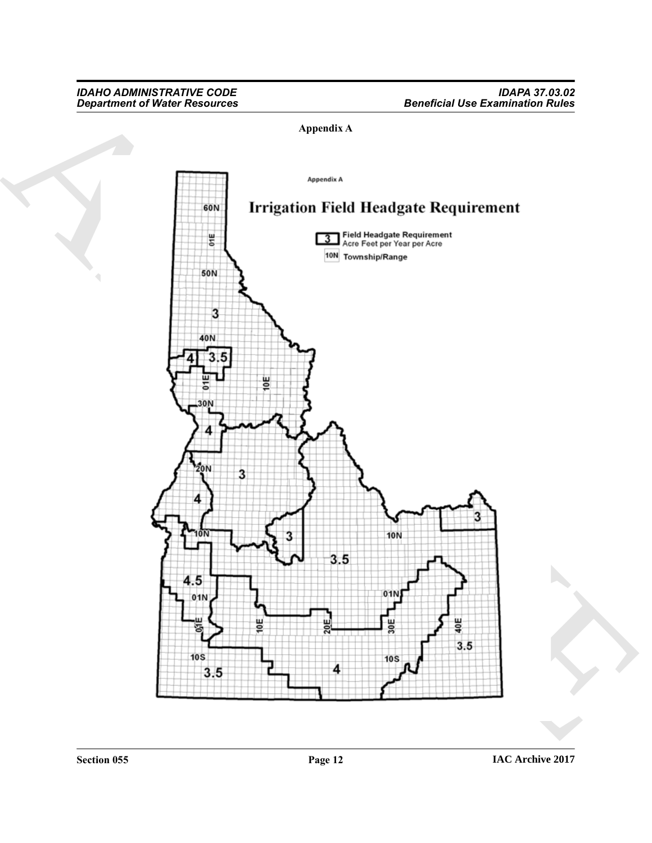### **Appendix A**